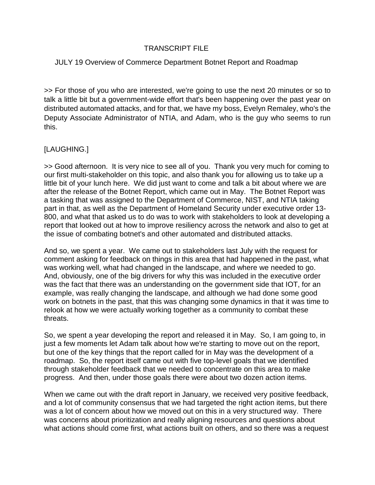# TRANSCRIPT FILE

# JULY 19 Overview of Commerce Department Botnet Report and Roadmap

>> For those of you who are interested, we're going to use the next 20 minutes or so to talk a little bit but a government-wide effort that's been happening over the past year on distributed automated attacks, and for that, we have my boss, Evelyn Remaley, who's the Deputy Associate Administrator of NTIA, and Adam, who is the guy who seems to run this.

## [LAUGHING.]

>> Good afternoon. It is very nice to see all of you. Thank you very much for coming to our first multi-stakeholder on this topic, and also thank you for allowing us to take up a little bit of your lunch here. We did just want to come and talk a bit about where we are after the release of the Botnet Report, which came out in May. The Botnet Report was a tasking that was assigned to the Department of Commerce, NIST, and NTIA taking part in that, as well as the Department of Homeland Security under executive order 13- 800, and what that asked us to do was to work with stakeholders to look at developing a report that looked out at how to improve resiliency across the network and also to get at the issue of combating botnet's and other automated and distributed attacks.

And so, we spent a year. We came out to stakeholders last July with the request for comment asking for feedback on things in this area that had happened in the past, what was working well, what had changed in the landscape, and where we needed to go. And, obviously, one of the big drivers for why this was included in the executive order was the fact that there was an understanding on the government side that IOT, for an example, was really changing the landscape, and although we had done some good work on botnets in the past, that this was changing some dynamics in that it was time to relook at how we were actually working together as a community to combat these threats.

So, we spent a year developing the report and released it in May. So, I am going to, in just a few moments let Adam talk about how we're starting to move out on the report, but one of the key things that the report called for in May was the development of a roadmap. So, the report itself came out with five top-level goals that we identified through stakeholder feedback that we needed to concentrate on this area to make progress. And then, under those goals there were about two dozen action items.

When we came out with the draft report in January, we received very positive feedback, and a lot of community consensus that we had targeted the right action items, but there was a lot of concern about how we moved out on this in a very structured way. There was concerns about prioritization and really aligning resources and questions about what actions should come first, what actions built on others, and so there was a request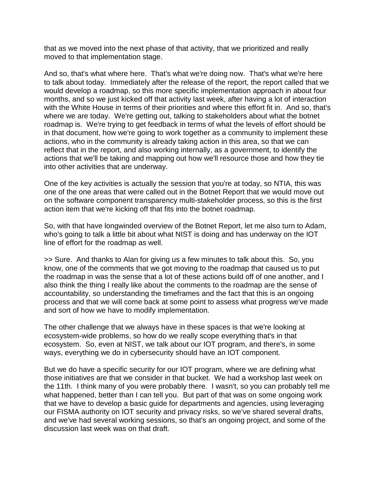that as we moved into the next phase of that activity, that we prioritized and really moved to that implementation stage.

And so, that's what where here. That's what we're doing now. That's what we're here to talk about today. Immediately after the release of the report, the report called that we would develop a roadmap, so this more specific implementation approach in about four months, and so we just kicked off that activity last week, after having a lot of interaction with the White House in terms of their priorities and where this effort fit in. And so, that's where we are today. We're getting out, talking to stakeholders about what the botnet roadmap is. We're trying to get feedback in terms of what the levels of effort should be in that document, how we're going to work together as a community to implement these actions, who in the community is already taking action in this area, so that we can reflect that in the report, and also working internally, as a government, to identify the actions that we'll be taking and mapping out how we'll resource those and how they tie into other activities that are underway.

One of the key activities is actually the session that you're at today, so NTIA, this was one of the one areas that were called out in the Botnet Report that we would move out on the software component transparency multi-stakeholder process, so this is the first action item that we're kicking off that fits into the botnet roadmap.

So, with that have longwinded overview of the Botnet Report, let me also turn to Adam, who's going to talk a little bit about what NIST is doing and has underway on the IOT line of effort for the roadmap as well.

>> Sure. And thanks to Alan for giving us a few minutes to talk about this. So, you know, one of the comments that we got moving to the roadmap that caused us to put the roadmap in was the sense that a lot of these actions build off of one another, and I also think the thing I really like about the comments to the roadmap are the sense of accountability, so understanding the timeframes and the fact that this is an ongoing process and that we will come back at some point to assess what progress we've made and sort of how we have to modify implementation.

The other challenge that we always have in these spaces is that we're looking at ecosystem-wide problems, so how do we really scope everything that's in that ecosystem. So, even at NIST, we talk about our IOT program, and there's, in some ways, everything we do in cybersecurity should have an IOT component.

But we do have a specific security for our IOT program, where we are defining what those initiatives are that we consider in that bucket. We had a workshop last week on the 11th. I think many of you were probably there. I wasn't, so you can probably tell me what happened, better than I can tell you. But part of that was on some ongoing work that we have to develop a basic guide for departments and agencies, using leveraging our FISMA authority on IOT security and privacy risks, so we've shared several drafts, and we've had several working sessions, so that's an ongoing project, and some of the discussion last week was on that draft.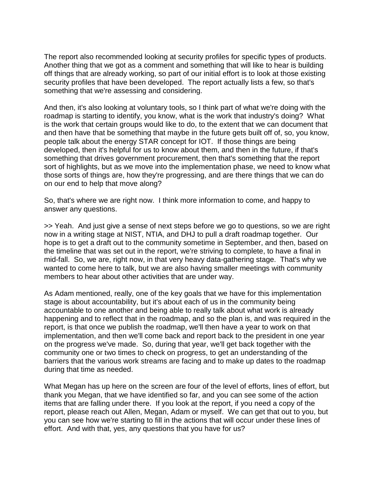The report also recommended looking at security profiles for specific types of products. Another thing that we got as a comment and something that will like to hear is building off things that are already working, so part of our initial effort is to look at those existing security profiles that have been developed. The report actually lists a few, so that's something that we're assessing and considering.

And then, it's also looking at voluntary tools, so I think part of what we're doing with the roadmap is starting to identify, you know, what is the work that industry's doing? What is the work that certain groups would like to do, to the extent that we can document that and then have that be something that maybe in the future gets built off of, so, you know, people talk about the energy STAR concept for IOT. If those things are being developed, then it's helpful for us to know about them, and then in the future, if that's something that drives government procurement, then that's something that the report sort of highlights, but as we move into the implementation phase, we need to know what those sorts of things are, how they're progressing, and are there things that we can do on our end to help that move along?

So, that's where we are right now. I think more information to come, and happy to answer any questions.

>> Yeah. And just give a sense of next steps before we go to questions, so we are right now in a writing stage at NIST, NTIA, and DHJ to pull a draft roadmap together. Our hope is to get a draft out to the community sometime in September, and then, based on the timeline that was set out in the report, we're striving to complete, to have a final in mid-fall. So, we are, right now, in that very heavy data-gathering stage. That's why we wanted to come here to talk, but we are also having smaller meetings with community members to hear about other activities that are under way.

As Adam mentioned, really, one of the key goals that we have for this implementation stage is about accountability, but it's about each of us in the community being accountable to one another and being able to really talk about what work is already happening and to reflect that in the roadmap, and so the plan is, and was required in the report, is that once we publish the roadmap, we'll then have a year to work on that implementation, and then we'll come back and report back to the president in one year on the progress we've made. So, during that year, we'll get back together with the community one or two times to check on progress, to get an understanding of the barriers that the various work streams are facing and to make up dates to the roadmap during that time as needed.

What Megan has up here on the screen are four of the level of efforts, lines of effort, but thank you Megan, that we have identified so far, and you can see some of the action items that are falling under there. If you look at the report, if you need a copy of the report, please reach out Allen, Megan, Adam or myself. We can get that out to you, but you can see how we're starting to fill in the actions that will occur under these lines of effort. And with that, yes, any questions that you have for us?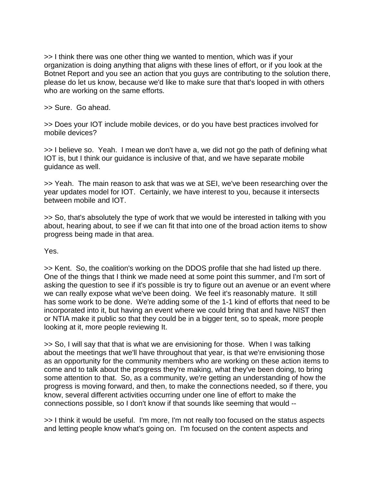>> I think there was one other thing we wanted to mention, which was if your organization is doing anything that aligns with these lines of effort, or if you look at the Botnet Report and you see an action that you guys are contributing to the solution there, please do let us know, because we'd like to make sure that that's looped in with others who are working on the same efforts.

>> Sure. Go ahead.

>> Does your IOT include mobile devices, or do you have best practices involved for mobile devices?

>> I believe so. Yeah. I mean we don't have a, we did not go the path of defining what IOT is, but I think our guidance is inclusive of that, and we have separate mobile guidance as well.

>> Yeah. The main reason to ask that was we at SEI, we've been researching over the year updates model for IOT. Certainly, we have interest to you, because it intersects between mobile and IOT.

>> So, that's absolutely the type of work that we would be interested in talking with you about, hearing about, to see if we can fit that into one of the broad action items to show progress being made in that area.

Yes.

>> Kent. So, the coalition's working on the DDOS profile that she had listed up there. One of the things that I think we made need at some point this summer, and I'm sort of asking the question to see if it's possible is try to figure out an avenue or an event where we can really expose what we've been doing. We feel it's reasonably mature. It still has some work to be done. We're adding some of the 1-1 kind of efforts that need to be incorporated into it, but having an event where we could bring that and have NIST then or NTIA make it public so that they could be in a bigger tent, so to speak, more people looking at it, more people reviewing It.

>> So, I will say that that is what we are envisioning for those. When I was talking about the meetings that we'll have throughout that year, is that we're envisioning those as an opportunity for the community members who are working on these action items to come and to talk about the progress they're making, what they've been doing, to bring some attention to that. So, as a community, we're getting an understanding of how the progress is moving forward, and then, to make the connections needed, so if there, you know, several different activities occurring under one line of effort to make the connections possible, so I don't know if that sounds like seeming that would --

>> I think it would be useful. I'm more, I'm not really too focused on the status aspects and letting people know what's going on. I'm focused on the content aspects and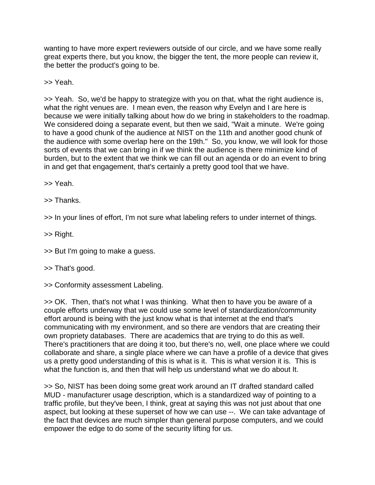wanting to have more expert reviewers outside of our circle, and we have some really great experts there, but you know, the bigger the tent, the more people can review it, the better the product's going to be.

>> Yeah.

>> Yeah. So, we'd be happy to strategize with you on that, what the right audience is, what the right venues are. I mean even, the reason why Evelyn and I are here is because we were initially talking about how do we bring in stakeholders to the roadmap. We considered doing a separate event, but then we said, "Wait a minute. We're going to have a good chunk of the audience at NIST on the 11th and another good chunk of the audience with some overlap here on the 19th." So, you know, we will look for those sorts of events that we can bring in if we think the audience is there minimize kind of burden, but to the extent that we think we can fill out an agenda or do an event to bring in and get that engagement, that's certainly a pretty good tool that we have.

>> Yeah.

>> Thanks.

>> In your lines of effort, I'm not sure what labeling refers to under internet of things.

>> Right.

>> But I'm going to make a guess.

## >> That's good.

>> Conformity assessment Labeling.

>> OK. Then, that's not what I was thinking. What then to have you be aware of a couple efforts underway that we could use some level of standardization/community effort around is being with the just know what is that internet at the end that's communicating with my environment, and so there are vendors that are creating their own propriety databases. There are academics that are trying to do this as well. There's practitioners that are doing it too, but there's no, well, one place where we could collaborate and share, a single place where we can have a profile of a device that gives us a pretty good understanding of this is what is it. This is what version it is. This is what the function is, and then that will help us understand what we do about It.

>> So, NIST has been doing some great work around an IT drafted standard called MUD - manufacturer usage description, which is a standardized way of pointing to a traffic profile, but they've been, I think, great at saying this was not just about that one aspect, but looking at these superset of how we can use --. We can take advantage of the fact that devices are much simpler than general purpose computers, and we could empower the edge to do some of the security lifting for us.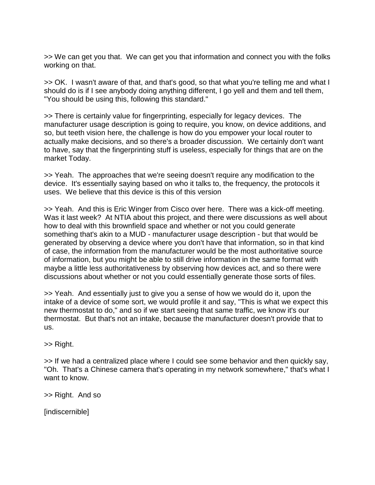>> We can get you that. We can get you that information and connect you with the folks working on that.

>> OK. I wasn't aware of that, and that's good, so that what you're telling me and what I should do is if I see anybody doing anything different, I go yell and them and tell them, "You should be using this, following this standard."

>> There is certainly value for fingerprinting, especially for legacy devices. The manufacturer usage description is going to require, you know, on device additions, and so, but teeth vision here, the challenge is how do you empower your local router to actually make decisions, and so there's a broader discussion. We certainly don't want to have, say that the fingerprinting stuff is useless, especially for things that are on the market Today.

>> Yeah. The approaches that we're seeing doesn't require any modification to the device. It's essentially saying based on who it talks to, the frequency, the protocols it uses. We believe that this device is this of this version

>> Yeah. And this is Eric Winger from Cisco over here. There was a kick-off meeting. Was it last week? At NTIA about this project, and there were discussions as well about how to deal with this brownfield space and whether or not you could generate something that's akin to a MUD - manufacturer usage description - but that would be generated by observing a device where you don't have that information, so in that kind of case, the information from the manufacturer would be the most authoritative source of information, but you might be able to still drive information in the same format with maybe a little less authoritativeness by observing how devices act, and so there were discussions about whether or not you could essentially generate those sorts of files.

>> Yeah. And essentially just to give you a sense of how we would do it, upon the intake of a device of some sort, we would profile it and say, "This is what we expect this new thermostat to do," and so if we start seeing that same traffic, we know it's our thermostat. But that's not an intake, because the manufacturer doesn't provide that to us.

>> Right.

>> If we had a centralized place where I could see some behavior and then quickly say, "Oh. That's a Chinese camera that's operating in my network somewhere," that's what I want to know.

>> Right. And so

[indiscernible]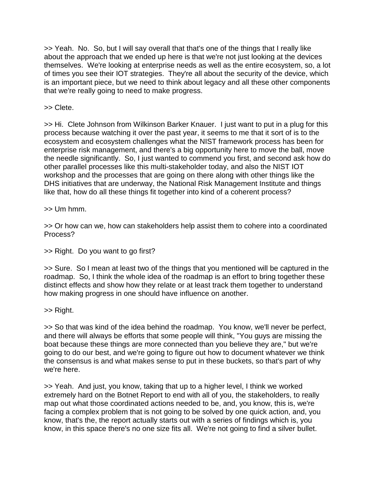>> Yeah. No. So, but I will say overall that that's one of the things that I really like about the approach that we ended up here is that we're not just looking at the devices themselves. We're looking at enterprise needs as well as the entire ecosystem, so, a lot of times you see their IOT strategies. They're all about the security of the device, which is an important piece, but we need to think about legacy and all these other components that we're really going to need to make progress.

>> Clete.

>> Hi. Clete Johnson from Wilkinson Barker Knauer. I just want to put in a plug for this process because watching it over the past year, it seems to me that it sort of is to the ecosystem and ecosystem challenges what the NIST framework process has been for enterprise risk management, and there's a big opportunity here to move the ball, move the needle significantly. So, I just wanted to commend you first, and second ask how do other parallel processes like this multi-stakeholder today, and also the NIST IOT workshop and the processes that are going on there along with other things like the DHS initiatives that are underway, the National Risk Management Institute and things like that, how do all these things fit together into kind of a coherent process?

 $\gg$  Um hmm.

>> Or how can we, how can stakeholders help assist them to cohere into a coordinated Process?

>> Right. Do you want to go first?

>> Sure. So I mean at least two of the things that you mentioned will be captured in the roadmap. So, I think the whole idea of the roadmap is an effort to bring together these distinct effects and show how they relate or at least track them together to understand how making progress in one should have influence on another.

>> Right.

>> So that was kind of the idea behind the roadmap. You know, we'll never be perfect, and there will always be efforts that some people will think, "You guys are missing the boat because these things are more connected than you believe they are," but we're going to do our best, and we're going to figure out how to document whatever we think the consensus is and what makes sense to put in these buckets, so that's part of why we're here.

>> Yeah. And just, you know, taking that up to a higher level, I think we worked extremely hard on the Botnet Report to end with all of you, the stakeholders, to really map out what those coordinated actions needed to be, and, you know, this is, we're facing a complex problem that is not going to be solved by one quick action, and, you know, that's the, the report actually starts out with a series of findings which is, you know, in this space there's no one size fits all. We're not going to find a silver bullet.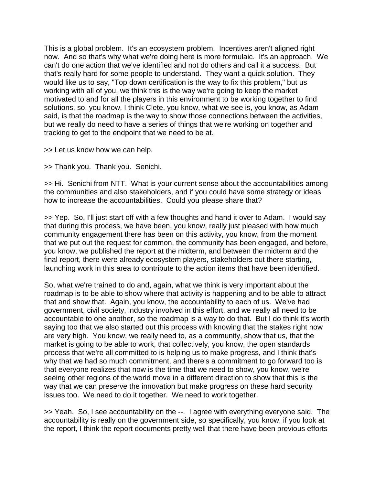This is a global problem. It's an ecosystem problem. Incentives aren't aligned right now. And so that's why what we're doing here is more formulaic. It's an approach. We can't do one action that we've identified and not do others and call it a success. But that's really hard for some people to understand. They want a quick solution. They would like us to say, "Top down certification is the way to fix this problem," but us working with all of you, we think this is the way we're going to keep the market motivated to and for all the players in this environment to be working together to find solutions, so, you know, I think Clete, you know, what we see is, you know, as Adam said, is that the roadmap is the way to show those connections between the activities, but we really do need to have a series of things that we're working on together and tracking to get to the endpoint that we need to be at.

>> Let us know how we can help.

>> Thank you. Thank you. Senichi.

>> Hi. Senichi from NTT. What is your current sense about the accountabilities among the communities and also stakeholders, and if you could have some strategy or ideas how to increase the accountabilities. Could you please share that?

>> Yep. So, I'll just start off with a few thoughts and hand it over to Adam. I would say that during this process, we have been, you know, really just pleased with how much community engagement there has been on this activity, you know, from the moment that we put out the request for common, the community has been engaged, and before, you know, we published the report at the midterm, and between the midterm and the final report, there were already ecosystem players, stakeholders out there starting, launching work in this area to contribute to the action items that have been identified.

So, what we're trained to do and, again, what we think is very important about the roadmap is to be able to show where that activity is happening and to be able to attract that and show that. Again, you know, the accountability to each of us. We've had government, civil society, industry involved in this effort, and we really all need to be accountable to one another, so the roadmap is a way to do that. But I do think it's worth saying too that we also started out this process with knowing that the stakes right now are very high. You know, we really need to, as a community, show that us, that the market is going to be able to work, that collectively, you know, the open standards process that we're all committed to is helping us to make progress, and I think that's why that we had so much commitment, and there's a commitment to go forward too is that everyone realizes that now is the time that we need to show, you know, we're seeing other regions of the world move in a different direction to show that this is the way that we can preserve the innovation but make progress on these hard security issues too. We need to do it together. We need to work together.

>> Yeah. So, I see accountability on the --. I agree with everything everyone said. The accountability is really on the government side, so specifically, you know, if you look at the report, I think the report documents pretty well that there have been previous efforts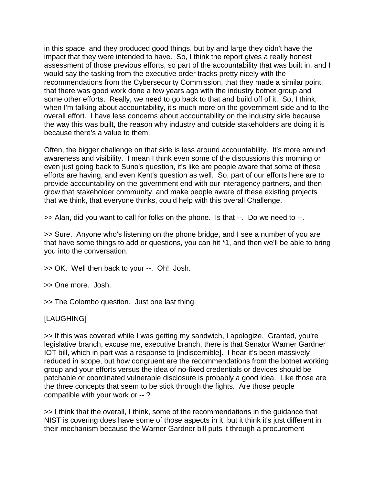in this space, and they produced good things, but by and large they didn't have the impact that they were intended to have. So, I think the report gives a really honest assessment of those previous efforts, so part of the accountability that was built in, and I would say the tasking from the executive order tracks pretty nicely with the recommendations from the Cybersecurity Commission, that they made a similar point, that there was good work done a few years ago with the industry botnet group and some other efforts. Really, we need to go back to that and build off of it. So, I think, when I'm talking about accountability, it's much more on the government side and to the overall effort. I have less concerns about accountability on the industry side because the way this was built, the reason why industry and outside stakeholders are doing it is because there's a value to them.

Often, the bigger challenge on that side is less around accountability. It's more around awareness and visibility. I mean I think even some of the discussions this morning or even just going back to Suno's question, it's like are people aware that some of these efforts are having, and even Kent's question as well. So, part of our efforts here are to provide accountability on the government end with our interagency partners, and then grow that stakeholder community, and make people aware of these existing projects that we think, that everyone thinks, could help with this overall Challenge.

>> Alan, did you want to call for folks on the phone. Is that --. Do we need to --.

>> Sure. Anyone who's listening on the phone bridge, and I see a number of you are that have some things to add or questions, you can hit \*1, and then we'll be able to bring you into the conversation.

>> OK. Well then back to your --. Oh! Josh.

>> One more. Josh.

>> The Colombo question. Just one last thing.

## [LAUGHING]

>> If this was covered while I was getting my sandwich, I apologize. Granted, you're legislative branch, excuse me, executive branch, there is that Senator Warner Gardner IOT bill, which in part was a response to [indiscernible]. I hear it's been massively reduced in scope, but how congruent are the recommendations from the botnet working group and your efforts versus the idea of no-fixed credentials or devices should be patchable or coordinated vulnerable disclosure is probably a good idea. Like those are the three concepts that seem to be stick through the fights. Are those people compatible with your work or -- ?

>> I think that the overall, I think, some of the recommendations in the guidance that NIST is covering does have some of those aspects in it, but it think it's just different in their mechanism because the Warner Gardner bill puts it through a procurement